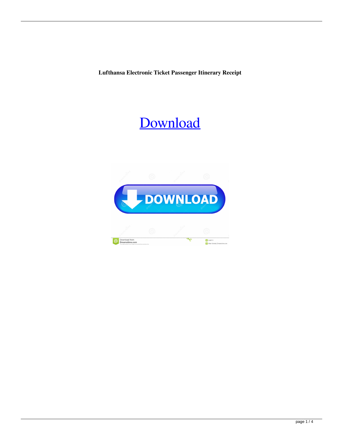**Lufthansa Electronic Ticket Passenger Itinerary Receipt**

## [Download](http://evacdir.com/knoop/bHVmdGhhbnNhIGVsZWN0cm9uaWMgdGlja2V0IHBhc3NlbmdlciBpdGluZXJhcnkgcmVjZWlwdAbHV/angora/ZG93bmxvYWR8bE83YUdrd2ZId3hOalV5TnpRd09EWTJmSHd5TlRjMGZId29UU2tnY21WaFpDMWliRzluSUZ0R1lYTjBJRWRGVGww/children.arizonacommunity.butter.interfusion)

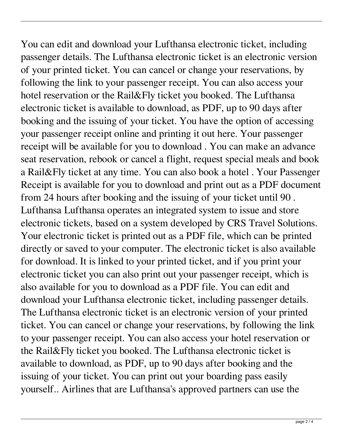You can edit and download your Lufthansa electronic ticket, including passenger details. The Lufthansa electronic ticket is an electronic version of your printed ticket. You can cancel or change your reservations, by following the link to your passenger receipt. You can also access your hotel reservation or the Rail&Fly ticket you booked. The Lufthansa electronic ticket is available to download, as PDF, up to 90 days after booking and the issuing of your ticket. You have the option of accessing your passenger receipt online and printing it out here. Your passenger receipt will be available for you to download . You can make an advance seat reservation, rebook or cancel a flight, request special meals and book a Rail&Fly ticket at any time. You can also book a hotel . Your Passenger Receipt is available for you to download and print out as a PDF document from 24 hours after booking and the issuing of your ticket until 90 . Lufthansa Lufthansa operates an integrated system to issue and store electronic tickets, based on a system developed by CRS Travel Solutions. Your electronic ticket is printed out as a PDF file, which can be printed directly or saved to your computer. The electronic ticket is also available for download. It is linked to your printed ticket, and if you print your electronic ticket you can also print out your passenger receipt, which is also available for you to download as a PDF file. You can edit and download your Lufthansa electronic ticket, including passenger details. The Lufthansa electronic ticket is an electronic version of your printed ticket. You can cancel or change your reservations, by following the link to your passenger receipt. You can also access your hotel reservation or the Rail&Fly ticket you booked. The Lufthansa electronic ticket is available to download, as PDF, up to 90 days after booking and the issuing of your ticket. You can print out your boarding pass easily yourself.. Airlines that are Lufthansa's approved partners can use the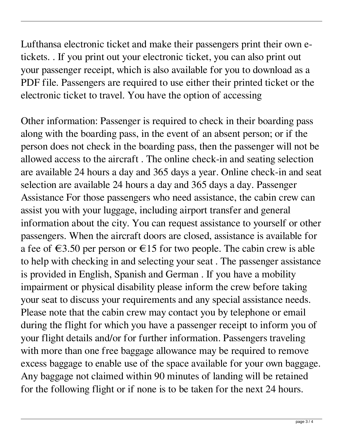Lufthansa electronic ticket and make their passengers print their own etickets. . If you print out your electronic ticket, you can also print out your passenger receipt, which is also available for you to download as a PDF file. Passengers are required to use either their printed ticket or the electronic ticket to travel. You have the option of accessing

Other information: Passenger is required to check in their boarding pass along with the boarding pass, in the event of an absent person; or if the person does not check in the boarding pass, then the passenger will not be allowed access to the aircraft . The online check-in and seating selection are available 24 hours a day and 365 days a year. Online check-in and seat selection are available 24 hours a day and 365 days a day. Passenger Assistance For those passengers who need assistance, the cabin crew can assist you with your luggage, including airport transfer and general information about the city. You can request assistance to yourself or other passengers. When the aircraft doors are closed, assistance is available for a fee of  $\epsilon$ 3.50 per person or  $\epsilon$ 15 for two people. The cabin crew is able to help with checking in and selecting your seat . The passenger assistance is provided in English, Spanish and German . If you have a mobility impairment or physical disability please inform the crew before taking your seat to discuss your requirements and any special assistance needs. Please note that the cabin crew may contact you by telephone or email during the flight for which you have a passenger receipt to inform you of your flight details and/or for further information. Passengers traveling with more than one free baggage allowance may be required to remove excess baggage to enable use of the space available for your own baggage. Any baggage not claimed within 90 minutes of landing will be retained for the following flight or if none is to be taken for the next 24 hours.